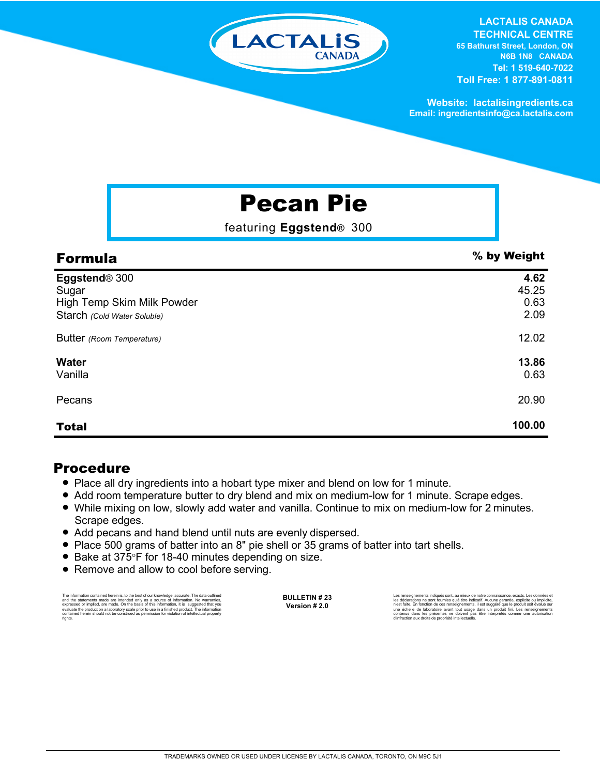

#### **LACTALIS CANADA TECHNICAL CENTRE**

**65 Bathurst Street, London, ON N6B 1N8 CANADA Tel: 1 519-640-7022 Toll Free: 1 877-891-0811**

**Website: lactalisingredients.ca Email: ingredientsinfo@ca.lactalis.com**

# Pecan Pie

featuring **Eggstend**® 300

| <b>Formula</b>              | % by Weight |
|-----------------------------|-------------|
| Eggstend® 300               | 4.62        |
| Sugar                       | 45.25       |
| High Temp Skim Milk Powder  | 0.63        |
| Starch (Cold Water Soluble) | 2.09        |
| Butter (Room Temperature)   | 12.02       |
| <b>Water</b>                | 13.86       |
| Vanilla                     | 0.63        |
| Pecans                      | 20.90       |
| <b>Total</b>                | 100.00      |

### Procedure

- = Place all dry ingredients into a hobart type mixer and blend on low for 1 minute.
- Add room temperature butter to dry blend and mix on medium-low for 1 minute. Scrape edges.
- While mixing on low, slowly add water and vanilla. Continue to mix on medium-low for 2 minutes. Scrape edges.
- Add pecans and hand blend until nuts are evenly dispersed.
- Place 500 grams of batter into an 8" pie shell or 35 grams of batter into tart shells.
- Bake at 375°F for 18-40 minutes depending on size.
- Remove and allow to cool before serving.

The information contained herein is, to the best of our knowledge, accurate. The data outlined and the statements made are intended only as a source of information. No warranties,<br>expressed or implied, are made. On the basis of this information, it is suggested that you<br>evaluate the product on a laboratory scale pri **BULLETIN # 23 Version # 2.0**

Les renseignements indiqués sont, au mieux de notre connaissance, exacts. Les données et les déclarations ne sont fournies qu'à titre indicatif. Aucune garantie, explicite ou implicite,<br>rivest faite. En fonction de ces renseignements, il est suggéré que le produit soit évalué sur<br>une échelle de laboratoire ava